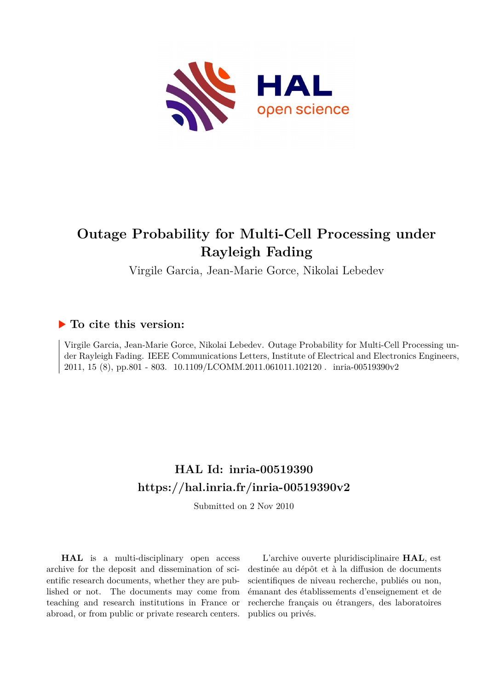

# **Outage Probability for Multi-Cell Processing under Rayleigh Fading**

Virgile Garcia, Jean-Marie Gorce, Nikolai Lebedev

## **To cite this version:**

Virgile Garcia, Jean-Marie Gorce, Nikolai Lebedev. Outage Probability for Multi-Cell Processing under Rayleigh Fading. IEEE Communications Letters, Institute of Electrical and Electronics Engineers, 2011, 15 (8), pp.801 - 803. 10.1109/LCOMM.2011.061011.102120 . inria-00519390v2

# **HAL Id: inria-00519390 <https://hal.inria.fr/inria-00519390v2>**

Submitted on 2 Nov 2010

**HAL** is a multi-disciplinary open access archive for the deposit and dissemination of scientific research documents, whether they are published or not. The documents may come from teaching and research institutions in France or abroad, or from public or private research centers.

L'archive ouverte pluridisciplinaire **HAL**, est destinée au dépôt et à la diffusion de documents scientifiques de niveau recherche, publiés ou non, émanant des établissements d'enseignement et de recherche français ou étrangers, des laboratoires publics ou privés.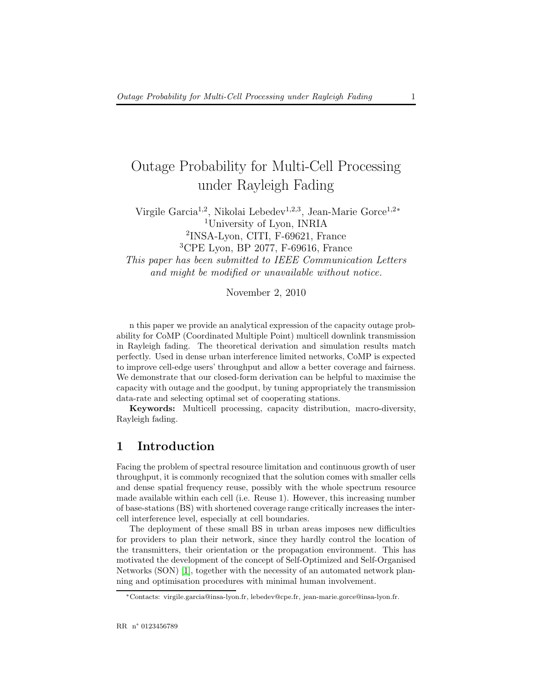## Outage Probability for Multi-Cell Processing under Rayleigh Fading

Virgile Garcia<sup>1,2</sup>, Nikolai Lebedev<sup>1,2,3</sup>, Jean-Marie Gorce<sup>1,2\*</sup> <sup>1</sup>University of Lyon, INRIA 2 INSA-Lyon, CITI, F-69621, France <sup>3</sup>CPE Lyon, BP 2077, F-69616, France This paper has been submitted to IEEE Communication Letters and might be modified or unavailable without notice.

November 2, 2010

n this paper we provide an analytical expression of the capacity outage probability for CoMP (Coordinated Multiple Point) multicell downlink transmission in Rayleigh fading. The theoretical derivation and simulation results match perfectly. Used in dense urban interference limited networks, CoMP is expected to improve cell-edge users' throughput and allow a better coverage and fairness. We demonstrate that our closed-form derivation can be helpful to maximise the capacity with outage and the goodput, by tuning appropriately the transmission data-rate and selecting optimal set of cooperating stations.

Keywords: Multicell processing, capacity distribution, macro-diversity, Rayleigh fading.

## 1 Introduction

Facing the problem of spectral resource limitation and continuous growth of user throughput, it is commonly recognized that the solution comes with smaller cells and dense spatial frequency reuse, possibly with the whole spectrum resource made available within each cell (i.e. Reuse 1). However, this increasing number of base-stations (BS) with shortened coverage range critically increases the intercell interference level, especially at cell boundaries.

The deployment of these small BS in urban areas imposes new difficulties for providers to plan their network, since they hardly control the location of the transmitters, their orientation or the propagation environment. This has motivated the development of the concept of Self-Optimized and Self-Organised Networks (SON) [\[1\]](#page-6-0), together with the necessity of an automated network planning and optimisation procedures with minimal human involvement.

<sup>∗</sup>Contacts: virgile.garcia@insa-lyon.fr, lebedev@cpe.fr, jean-marie.gorce@insa-lyon.fr.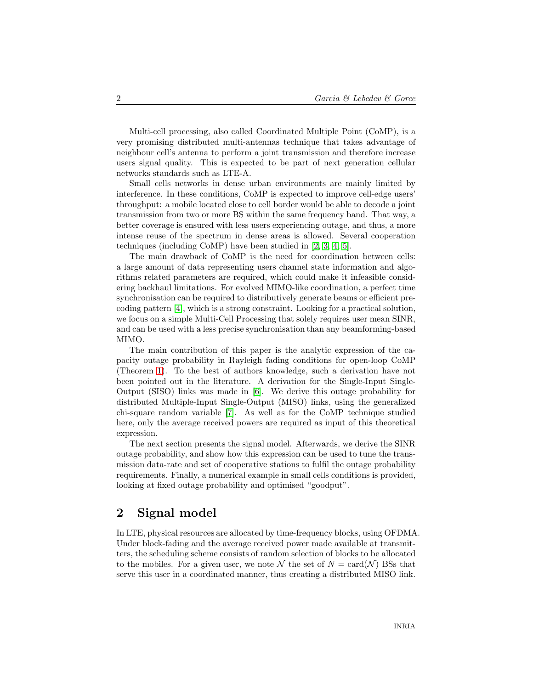Multi-cell processing, also called Coordinated Multiple Point (CoMP), is a very promising distributed multi-antennas technique that takes advantage of neighbour cell's antenna to perform a joint transmission and therefore increase users signal quality. This is expected to be part of next generation cellular networks standards such as LTE-A.

Small cells networks in dense urban environments are mainly limited by interference. In these conditions, CoMP is expected to improve cell-edge users' throughput: a mobile located close to cell border would be able to decode a joint transmission from two or more BS within the same frequency band. That way, a better coverage is ensured with less users experiencing outage, and thus, a more intense reuse of the spectrum in dense areas is allowed. Several cooperation techniques (including CoMP) have been studied in [\[2,](#page-6-1) [3,](#page-6-2) [4,](#page-8-0) [5\]](#page-8-1).

The main drawback of CoMP is the need for coordination between cells: a large amount of data representing users channel state information and algorithms related parameters are required, which could make it infeasible considering backhaul limitations. For evolved MIMO-like coordination, a perfect time synchronisation can be required to distributively generate beams or efficient precoding pattern [\[4\]](#page-8-0), which is a strong constraint. Looking for a practical solution, we focus on a simple Multi-Cell Processing that solely requires user mean SINR, and can be used with a less precise synchronisation than any beamforming-based MIMO.

The main contribution of this paper is the analytic expression of the capacity outage probability in Rayleigh fading conditions for open-loop CoMP (Theorem [1\)](#page-4-0). To the best of authors knowledge, such a derivation have not been pointed out in the literature. A derivation for the Single-Input Single-Output (SISO) links was made in [\[6\]](#page-8-2). We derive this outage probability for distributed Multiple-Input Single-Output (MISO) links, using the generalized chi-square random variable [\[7\]](#page-8-3). As well as for the CoMP technique studied here, only the average received powers are required as input of this theoretical expression.

The next section presents the signal model. Afterwards, we derive the SINR outage probability, and show how this expression can be used to tune the transmission data-rate and set of cooperative stations to fulfil the outage probability requirements. Finally, a numerical example in small cells conditions is provided, looking at fixed outage probability and optimised "goodput".

## 2 Signal model

In LTE, physical resources are allocated by time-frequency blocks, using OFDMA. Under block-fading and the average received power made available at transmitters, the scheduling scheme consists of random selection of blocks to be allocated to the mobiles. For a given user, we note N the set of  $N = \text{card}(\mathcal{N})$  BSs that serve this user in a coordinated manner, thus creating a distributed MISO link.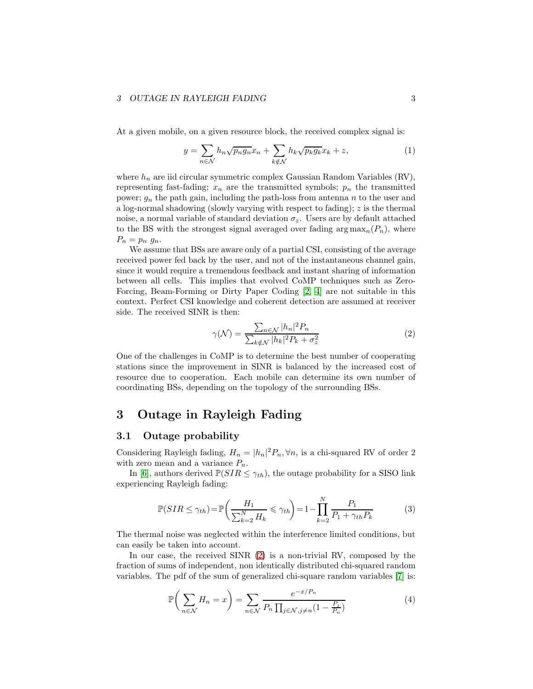#### 3 OUTAGE IN RAYLEIGH FADING  $\qquad \qquad \qquad 3$

At a given mobile, on a given resource block, the received complex signal is:

$$
y = \sum_{n \in \mathcal{N}} h_n \sqrt{p_n g_n} x_n + \sum_{k \notin \mathcal{N}} h_k \sqrt{p_k g_k} x_k + z,
$$
 (1)

where  $h_n$  are iid circular symmetric complex Gaussian Random Variables (RV), representing fast-fading;  $x_n$  are the transmitted symbols;  $p_n$  the transmitted power;  $g_n$  the path gain, including the path-loss from antenna n to the user and a log-normal shadowing (slowly varying with respect to fading); z is the thermal noise, a normal variable of standard deviation  $\sigma_z$ . Users are by default attached to the BS with the strongest signal averaged over fading  $\arg \max_n(P_n)$ , where  $P_n = p_n g_n$ .

We assume that BSs are aware only of a partial CSI, consisting of the average received power fed back by the user, and not of the instantaneous channel gain, since it would require a tremendous feedback and instant sharing of information between all cells. This implies that evolved CoMP techniques such as Zero-Forcing, Beam-Forming or Dirty Paper Coding [\[2,](#page-6-1) [4\]](#page-8-0) are not suitable in this context. Perfect CSI knowledge and coherent detection are assumed at receiver side. The received SINR is then:

<span id="page-3-0"></span>
$$
\gamma(\mathcal{N}) = \frac{\sum_{n \in \mathcal{N}} |h_n|^2 P_n}{\sum_{k \notin \mathcal{N}} |h_k|^2 P_k + \sigma_z^2}
$$
(2)

One of the challenges in CoMP is to determine the best number of cooperating stations since the improvement in SINR is balanced by the increased cost of resource due to cooperation. Each mobile can determine its own number of coordinating BSs, depending on the topology of the surrounding BSs.

## 3 Outage in Rayleigh Fading

#### 3.1 Outage probability

Considering Rayleigh fading,  $H_n = |h_n|^2 P_n$ ,  $\forall n$ , is a chi-squared RV of order 2 with zero mean and a variance  $P_n$ .

In [\[6\]](#page-8-2), authors derived  $\mathbb{P}(SIR \leq \gamma_{th})$ , the outage probability for a SISO link experiencing Rayleigh fading:

$$
\mathbb{P}(SIR \le \gamma_{th}) = \mathbb{P}\left(\frac{H_1}{\sum_{k=2}^{N} H_k} \le \gamma_{th}\right) = 1 - \prod_{k=2}^{N} \frac{P_1}{P_1 + \gamma_{th} P_k} \tag{3}
$$

The thermal noise was neglected within the interference limited conditions, but can easily be taken into account.

In our case, the received SINR [\(2\)](#page-3-0) is a non-trivial RV, composed by the fraction of sums of independent, non identically distributed chi-squared random variables. The pdf of the sum of generalized chi-square random variables [\[7\]](#page-8-3) is:

$$
\mathbb{P}\bigg(\sum_{n\in\mathcal{N}}H_n=x\bigg)=\sum_{n\in\mathcal{N}}\frac{e^{-x/P_n}}{P_n\prod_{j\in\mathcal{N},j\neq n}(1-\frac{P_j}{P_n})}\tag{4}
$$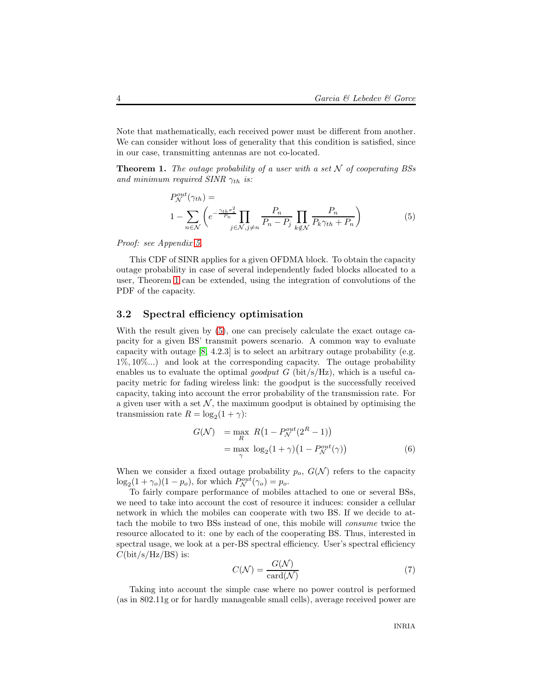Note that mathematically, each received power must be different from another. We can consider without loss of generality that this condition is satisfied, since in our case, transmitting antennas are not co-located.

Theorem 1. *The outage probability of a user with a set* N *of cooperating BSs and minimum required SINR*  $\gamma_{th}$  *is:* 

<span id="page-4-0"></span>
$$
P_{\mathcal{N}}^{out}(\gamma_{th}) =
$$
  
 
$$
1 - \sum_{n \in \mathcal{N}} \left( e^{-\frac{\gamma_{th}\sigma_z^2}{P_n}} \prod_{j \in \mathcal{N}, j \neq n} \frac{P_n}{P_n - P_j} \prod_{k \notin \mathcal{N}} \frac{P_n}{P_k \gamma_{th} + P_n} \right)
$$
 (5)

*Proof: see Appendix [5.](#page-6-3)*

This CDF of SINR applies for a given OFDMA block. To obtain the capacity outage probability in case of several independently faded blocks allocated to a user, Theorem [1](#page-4-0) can be extended, using the integration of convolutions of the PDF of the capacity.

#### 3.2 Spectral efficiency optimisation

With the result given by  $(5)$ , one can precisely calculate the exact outage capacity for a given BS' transmit powers scenario. A common way to evaluate capacity with outage  $[8, 4.2.3]$  is to select an arbitrary outage probability (e.g. 1%, 10%...) and look at the corresponding capacity. The outage probability enables us to evaluate the optimal *goodput* G (bit/s/Hz), which is a useful capacity metric for fading wireless link: the goodput is the successfully received capacity, taking into account the error probability of the transmission rate. For a given user with a set  $N$ , the maximum goodput is obtained by optimising the transmission rate  $R = \log_2(1 + \gamma)$ :

$$
G(\mathcal{N}) = \max_{R} R\left(1 - P_{\mathcal{N}}^{out}(2^{R} - 1)\right)
$$
  
= 
$$
\max_{\gamma} \log_{2}(1 + \gamma)\left(1 - P_{\mathcal{N}}^{out}(\gamma)\right)
$$
(6)

When we consider a fixed outage probability  $p_o$ ,  $G(\mathcal{N})$  refers to the capacity  $\log_2(1+\gamma_o)(1-p_o)$ , for which  $P_N^{out}(\gamma_o) = p_o$ .

To fairly compare performance of mobiles attached to one or several BSs, we need to take into account the cost of resource it induces: consider a cellular network in which the mobiles can cooperate with two BS. If we decide to attach the mobile to two BSs instead of one, this mobile will *consume* twice the resource allocated to it: one by each of the cooperating BS. Thus, interested in spectral usage, we look at a per-BS spectral efficiency. User's spectral efficiency  $C(\text{bit/s/Hz/BS})$  is:

$$
C(\mathcal{N}) = \frac{G(\mathcal{N})}{\text{card}(\mathcal{N})}
$$
\n(7)

Taking into account the simple case where no power control is performed (as in 802.11g or for hardly manageable small cells), average received power are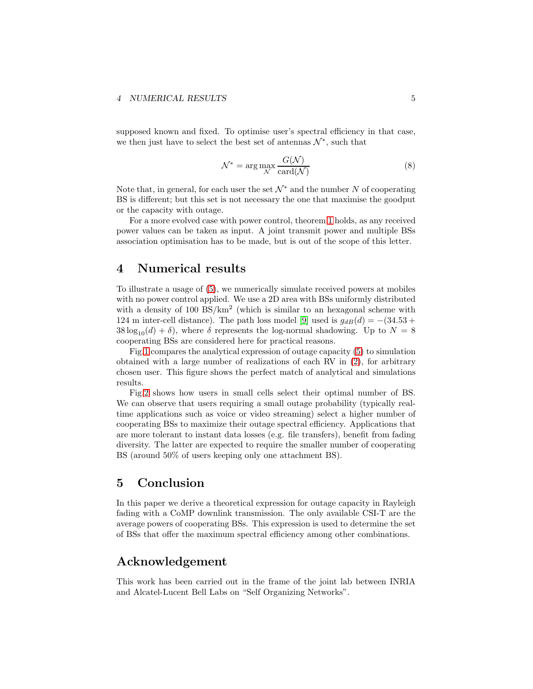supposed known and fixed. To optimise user's spectral efficiency in that case, we then just have to select the best set of antennas  $\mathcal{N}^*,$  such that

$$
\mathcal{N}^* = \arg\max_{\mathcal{N}} \frac{G(\mathcal{N})}{\text{card}(\mathcal{N})}
$$
\n(8)

Note that, in general, for each user the set  $\mathcal{N}^*$  and the number N of cooperating BS is different; but this set is not necessary the one that maximise the goodput or the capacity with outage.

For a more evolved case with power control, theorem [1](#page-4-0) holds, as any received power values can be taken as input. A joint transmit power and multiple BSs association optimisation has to be made, but is out of the scope of this letter.

### 4 Numerical results

To illustrate a usage of [\(5\)](#page-4-0), we numerically simulate received powers at mobiles with no power control applied. We use a 2D area with BSs uniformly distributed with a density of  $100 \text{ BS/km}^2$  (which is similar to an hexagonal scheme with 124 m inter-cell distance). The path loss model [\[9\]](#page-8-5) used is  $g_{dB}(d) = -(34.53 +$  $38 \log_{10}(d) + \delta$ , where  $\delta$  represents the log-normal shadowing. Up to  $N = 8$ cooperating BSs are considered here for practical reasons.

Fig[.1](#page-7-0) compares the analytical expression of outage capacity [\(5\)](#page-4-0) to simulation obtained with a large number of realizations of each RV in [\(2\)](#page-3-0), for arbitrary chosen user. This figure shows the perfect match of analytical and simulations results.

Fig[.2](#page-7-1) shows how users in small cells select their optimal number of BS. We can observe that users requiring a small outage probability (typically realtime applications such as voice or video streaming) select a higher number of cooperating BSs to maximize their outage spectral efficiency. Applications that are more tolerant to instant data losses (e.g. file transfers), benefit from fading diversity. The latter are expected to require the smaller number of cooperating BS (around 50% of users keeping only one attachment BS).

## 5 Conclusion

In this paper we derive a theoretical expression for outage capacity in Rayleigh fading with a CoMP downlink transmission. The only available CSI-T are the average powers of cooperating BSs. This expression is used to determine the set of BSs that offer the maximum spectral efficiency among other combinations.

### Acknowledgement

This work has been carried out in the frame of the joint lab between INRIA and Alcatel-Lucent Bell Labs on "Self Organizing Networks".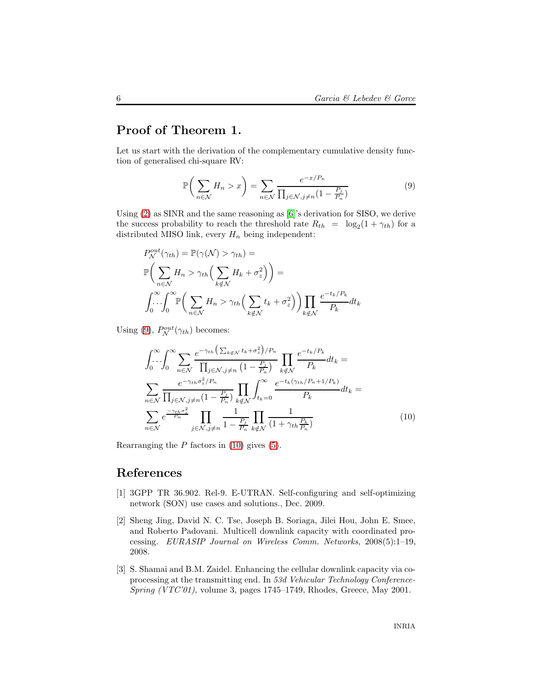## <span id="page-6-3"></span>Proof of Theorem 1.

Let us start with the derivation of the complementary cumulative density function of generalised chi-square RV:

<span id="page-6-4"></span>
$$
\mathbb{P}\bigg(\sum_{n\in\mathcal{N}}H_n>x\bigg)=\sum_{n\in\mathcal{N}}\frac{e^{-x/P_n}}{\prod_{j\in\mathcal{N},j\neq n}(1-\frac{P_j}{P_n})}\tag{9}
$$

Using [\(2\)](#page-3-0) as SINR and the same reasoning as [\[6\]](#page-8-2)'s derivation for SISO, we derive the success probability to reach the threshold rate  $R_{th} = \log_2(1 + \gamma_{th})$  for a distributed MISO link, every  $H_n$  being independent:

$$
P_{\mathcal{N}}^{out}(\gamma_{th}) = \mathbb{P}(\gamma(\mathcal{N}) > \gamma_{th}) =
$$
  

$$
\mathbb{P}\bigg(\sum_{n \in \mathcal{N}} H_n > \gamma_{th}\bigg(\sum_{k \notin \mathcal{N}} H_k + \sigma_z^2\bigg)\bigg) =
$$
  

$$
\int_0^\infty \int_0^\infty \mathbb{P}\bigg(\sum_{n \in \mathcal{N}} H_n > \gamma_{th}\bigg(\sum_{k \notin \mathcal{N}} t_k + \sigma_z^2\bigg)\bigg) \prod_{k \notin \mathcal{N}} \frac{e^{-t_k/P_k}}{P_k} dt_k
$$

Using [\(9\)](#page-6-4),  $P_N^{out}(\gamma_{th})$  becomes:

<span id="page-6-5"></span>
$$
\int_0^\infty \int_0^\infty \sum_{n \in \mathcal{N}} \frac{e^{-\gamma_{th} \left(\sum_{k \notin \mathcal{N}} t_k + \sigma_z^2\right) / P_n}}{\prod_{j \in \mathcal{N}, j \neq n} \left(1 - \frac{P_j}{P_n}\right)} \prod_{k \notin \mathcal{N}} \frac{e^{-t_k / P_k}}{P_k} dt_k =
$$
\n
$$
\sum_{n \in \mathcal{N}} \frac{e^{-\gamma_{th} \sigma_z^2 / P_n}}{\prod_{j \in \mathcal{N}, j \neq n} \left(1 - \frac{P_j}{P_n}\right)} \prod_{k \notin \mathcal{N}} \int_{t_k = 0}^\infty \frac{e^{-t_k (\gamma_{th}/P_n + 1/P_k)}}{P_k} dt_k =
$$
\n
$$
\sum_{n \in \mathcal{N}} e^{\frac{-\gamma_{th} \sigma_z^2}{P_n}} \prod_{j \in \mathcal{N}, j \neq n} \frac{1}{1 - \frac{P_j}{P_n}} \prod_{k \notin \mathcal{N}} \frac{1}{\left(1 + \gamma_{th} \frac{P_k}{P_n}\right)}
$$
\n(10)

Rearranging the  $P$  factors in [\(10\)](#page-6-5) gives [\(5\)](#page-4-0).

## <span id="page-6-0"></span>References

- [1] 3GPP TR 36.902. Rel-9. E-UTRAN. Self-configuring and self-optimizing network (SON) use cases and solutions., Dec. 2009.
- <span id="page-6-1"></span>[2] Sheng Jing, David N. C. Tse, Joseph B. Soriaga, Jilei Hou, John E. Smee, and Roberto Padovani. Multicell downlink capacity with coordinated processing. *EURASIP Journal on Wireless Comm. Networks*, 2008(5):1–19, 2008.
- <span id="page-6-2"></span>[3] S. Shamai and B.M. Zaidel. Enhancing the cellular downlink capacity via coprocessing at the transmitting end. In *53d Vehicular Technology Conference-Spring (VTC'01)*, volume 3, pages 1745–1749, Rhodes, Greece, May 2001.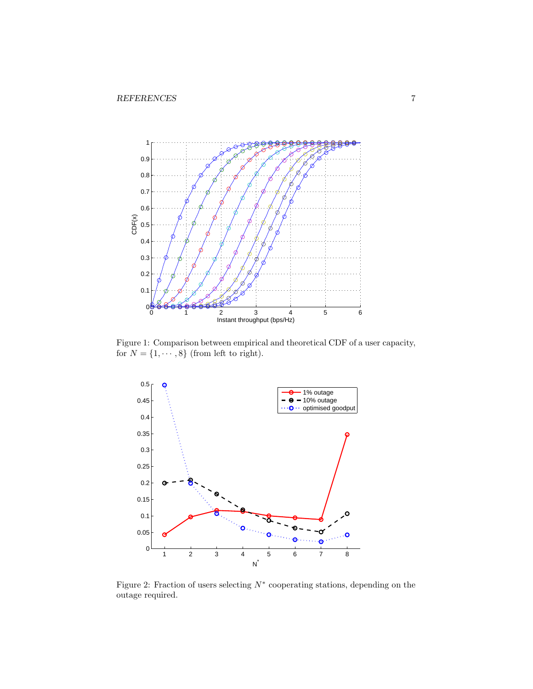<span id="page-7-0"></span>

Figure 1: Comparison between empirical and theoretical CDF of a user capacity, for  $N = \{1, \dots, 8\}$  (from left to right).

<span id="page-7-1"></span>

Figure 2: Fraction of users selecting  $N^*$  cooperating stations, depending on the outage required.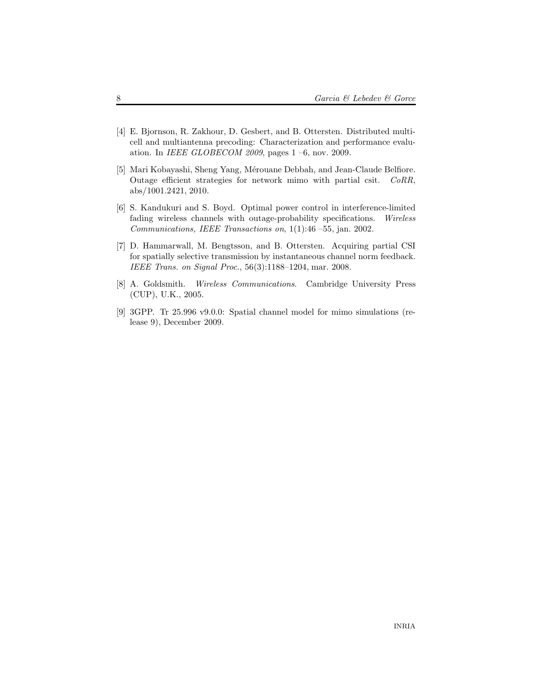- <span id="page-8-0"></span>[4] E. Bjornson, R. Zakhour, D. Gesbert, and B. Ottersten. Distributed multicell and multiantenna precoding: Characterization and performance evaluation. In *IEEE GLOBECOM 2009*, pages 1 –6, nov. 2009.
- <span id="page-8-1"></span>[5] Mari Kobayashi, Sheng Yang, Mérouane Debbah, and Jean-Claude Belfiore. Outage efficient strategies for network mimo with partial csit. *CoRR*, abs/1001.2421, 2010.
- <span id="page-8-2"></span>[6] S. Kandukuri and S. Boyd. Optimal power control in interference-limited fading wireless channels with outage-probability specifications. *Wireless Communications, IEEE Transactions on*, 1(1):46 –55, jan. 2002.
- <span id="page-8-3"></span>[7] D. Hammarwall, M. Bengtsson, and B. Ottersten. Acquiring partial CSI for spatially selective transmission by instantaneous channel norm feedback. *IEEE Trans. on Signal Proc.*, 56(3):1188–1204, mar. 2008.
- <span id="page-8-4"></span>[8] A. Goldsmith. *Wireless Communications*. Cambridge University Press (CUP), U.K., 2005.
- <span id="page-8-5"></span>[9] 3GPP. Tr 25.996 v9.0.0: Spatial channel model for mimo simulations (release 9), December 2009.